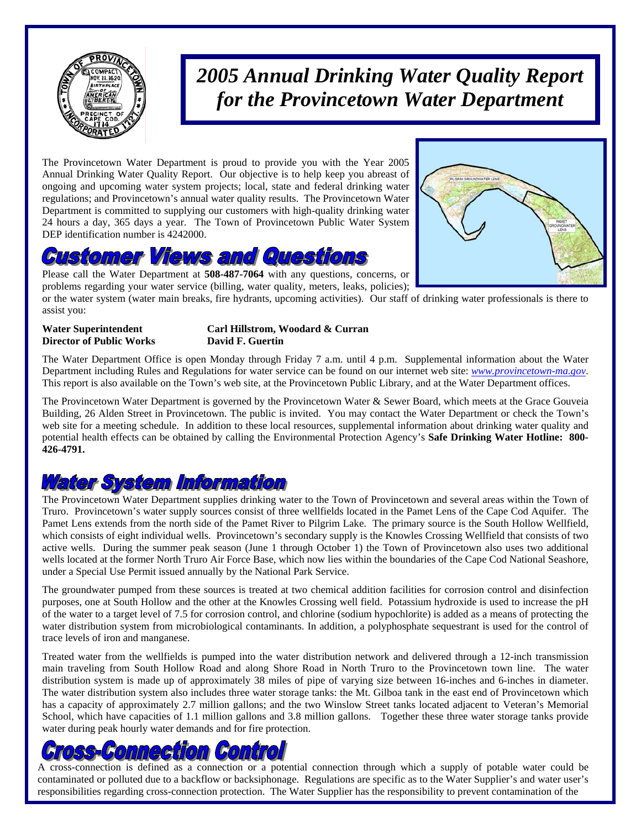

## *2005 Annual Drinking Water Quality Report for the Provincetown Water Department*

The Provincetown Water Department is proud to provide you with the Year 2005 Annual Drinking Water Quality Report. Our objective is to help keep you abreast of ongoing and upcoming water system projects; local, state and federal drinking water regulations; and Provincetown's annual water quality results. The Provincetown Water Department is committed to supplying our customers with high-quality drinking water 24 hours a day, 365 days a year. The Town of Provincetown Public Water System DEP identification number is 4242000.

### l, **QUIESI**

Please call the Water Department at **508-487-7064** with any questions, concerns, or problems regarding your water service (billing, water quality, meters, leaks, policies);

or the water system (water main breaks, fire hydrants, upcoming activities). Our staff of drinking water professionals is there to assist you:

**Director of Public Works David F. Guertin** 

## **Water Superintendent Carl Hillstrom, Woodard & Curran**

The Water Department Office is open Monday through Friday 7 a.m. until 4 p.m. Supplemental information about the Water Department including Rules and Regulations for water service can be found on our internet web site: *www.provincetown-ma.gov*. This report is also available on the Town's web site, at the Provincetown Public Library, and at the Water Department offices.

The Provincetown Water Department is governed by the Provincetown Water & Sewer Board, which meets at the Grace Gouveia Building, 26 Alden Street in Provincetown. The public is invited. You may contact the Water Department or check the Town's web site for a meeting schedule. In addition to these local resources, supplemental information about drinking water quality and potential health effects can be obtained by calling the Environmental Protection Agency's **Safe Drinking Water Hotline: 800- 426-4791.** 

### Water System Information

The Provincetown Water Department supplies drinking water to the Town of Provincetown and several areas within the Town of Truro. Provincetown's water supply sources consist of three wellfields located in the Pamet Lens of the Cape Cod Aquifer. The Pamet Lens extends from the north side of the Pamet River to Pilgrim Lake. The primary source is the South Hollow Wellfield, which consists of eight individual wells. Provincetown's secondary supply is the Knowles Crossing Wellfield that consists of two active wells. During the summer peak season (June 1 through October 1) the Town of Provincetown also uses two additional wells located at the former North Truro Air Force Base, which now lies within the boundaries of the Cape Cod National Seashore, under a Special Use Permit issued annually by the National Park Service.

The groundwater pumped from these sources is treated at two chemical addition facilities for corrosion control and disinfection purposes, one at South Hollow and the other at the Knowles Crossing well field. Potassium hydroxide is used to increase the pH of the water to a target level of 7.5 for corrosion control, and chlorine (sodium hypochlorite) is added as a means of protecting the water distribution system from microbiological contaminants. In addition, a polyphosphate sequestrant is used for the control of trace levels of iron and manganese.

Treated water from the wellfields is pumped into the water distribution network and delivered through a 12-inch transmission main traveling from South Hollow Road and along Shore Road in North Truro to the Provincetown town line. The water distribution system is made up of approximately 38 miles of pipe of varying size between 16-inches and 6-inches in diameter. The water distribution system also includes three water storage tanks: the Mt. Gilboa tank in the east end of Provincetown which has a capacity of approximately 2.7 million gallons; and the two Winslow Street tanks located adjacent to Veteran's Memorial School, which have capacities of 1.1 million gallons and 3.8 million gallons. Together these three water storage tanks provide water during peak hourly water demands and for fire protection.

# GommeGrilom (Gomril

A cross-connection is defined as a connection or a potential connection through which a supply of potable water could be contaminated or polluted due to a backflow or backsiphonage. Regulations are specific as to the Water Supplier's and water user's responsibilities regarding cross-connection protection. The Water Supplier has the responsibility to prevent contamination of the

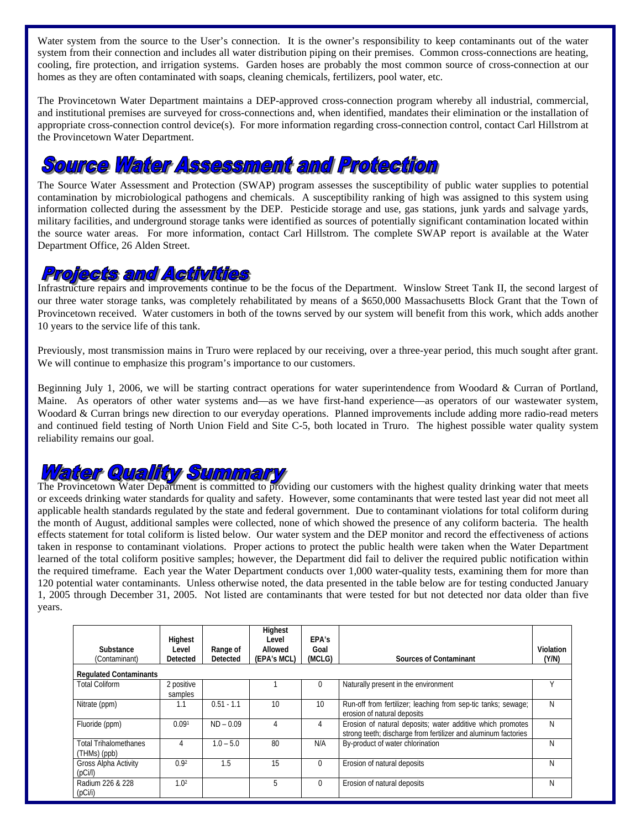Water system from the source to the User's connection. It is the owner's responsibility to keep contaminants out of the water system from their connection and includes all water distribution piping on their premises. Common cross-connections are heating, cooling, fire protection, and irrigation systems. Garden hoses are probably the most common source of cross-connection at our homes as they are often contaminated with soaps, cleaning chemicals, fertilizers, pool water, etc.

The Provincetown Water Department maintains a DEP-approved cross-connection program whereby all industrial, commercial, and institutional premises are surveyed for cross-connections and, when identified, mandates their elimination or the installation of appropriate cross-connection control device(s). For more information regarding cross-connection control, contact Carl Hillstrom at the Provincetown Water Department.

## **Source Water Assessment and Protection**

The Source Water Assessment and Protection (SWAP) program assesses the susceptibility of public water supplies to potential contamination by microbiological pathogens and chemicals. A susceptibility ranking of high was assigned to this system using information collected during the assessment by the DEP. Pesticide storage and use, gas stations, junk yards and salvage yards, military facilities, and underground storage tanks were identified as sources of potentially significant contamination located within the source water areas. For more information, contact Carl Hillstrom. The complete SWAP report is available at the Water Department Office, 26 Alden Street.

### Profects and Activities

Infrastructure repairs and improvements continue to be the focus of the Department. Winslow Street Tank II, the second largest of our three water storage tanks, was completely rehabilitated by means of a \$650,000 Massachusetts Block Grant that the Town of Provincetown received. Water customers in both of the towns served by our system will benefit from this work, which adds another 10 years to the service life of this tank.

Previously, most transmission mains in Truro were replaced by our receiving, over a three-year period, this much sought after grant. We will continue to emphasize this program's importance to our customers.

Beginning July 1, 2006, we will be starting contract operations for water superintendence from Woodard & Curran of Portland, Maine. As operators of other water systems and—as we have first-hand experience—as operators of our wastewater system, Woodard & Curran brings new direction to our everyday operations. Planned improvements include adding more radio-read meters and continued field testing of North Union Field and Site C-5, both located in Truro. The highest possible water quality system reliability remains our goal.

## atter Quallity Summi

The Provincetown Water Department is committed to providing our customers with the highest quality drinking water that meets or exceeds drinking water standards for quality and safety. However, some contaminants that were tested last year did not meet all applicable health standards regulated by the state and federal government. Due to contaminant violations for total coliform during the month of August, additional samples were collected, none of which showed the presence of any coliform bacteria. The health effects statement for total coliform is listed below. Our water system and the DEP monitor and record the effectiveness of actions taken in response to contaminant violations. Proper actions to protect the public health were taken when the Water Department learned of the total coliform positive samples; however, the Department did fail to deliver the required public notification within the required timeframe. Each year the Water Department conducts over 1,000 water-quality tests, examining them for more than 120 potential water contaminants. Unless otherwise noted, the data presented in the table below are for testing conducted January 1, 2005 through December 31, 2005. Not listed are contaminants that were tested for but not detected nor data older than five years.

| Substance<br>(Contaminant)                   | Highest<br>Level<br>Detected | Range of<br>Detected | Highest<br>Level<br>Allowed<br>(EPA's MCL) | EPA's<br>Goal<br>(MCLG) | <b>Sources of Contaminant</b>                                                                                                | Violation<br>(Y/N) |
|----------------------------------------------|------------------------------|----------------------|--------------------------------------------|-------------------------|------------------------------------------------------------------------------------------------------------------------------|--------------------|
| <b>Regulated Contaminants</b>                |                              |                      |                                            |                         |                                                                                                                              |                    |
| <b>Total Coliform</b>                        | 2 positive<br>samples        |                      |                                            | 0                       | Naturally present in the environment                                                                                         |                    |
| Nitrate (ppm)                                | 1.1                          | $0.51 - 1.1$         | 10                                         | 10                      | Run-off from fertilizer; leaching from sep-tic tanks; sewage;<br>erosion of natural deposits                                 | N                  |
| Fluoride (ppm)                               | 0.09 <sup>1</sup>            | $ND - 0.09$          | 4                                          | 4                       | Erosion of natural deposits; water additive which promotes<br>strong teeth; discharge from fertilizer and aluminum factories | N                  |
| <b>Total Trihalomethanes</b><br>(THMs) (ppb) | 4                            | $1.0 - 5.0$          | 80                                         | N/A                     | By-product of water chlorination                                                                                             | N                  |
| <b>Gross Alpha Activity</b><br>(pC)/)        | 0.92                         | 1.5                  | 15                                         | 0                       | Erosion of natural deposits                                                                                                  | N                  |
| Radium 226 & 228<br>(pCi/i)                  | 1.0 <sup>2</sup>             |                      | 5                                          | 0                       | Erosion of natural deposits                                                                                                  | N                  |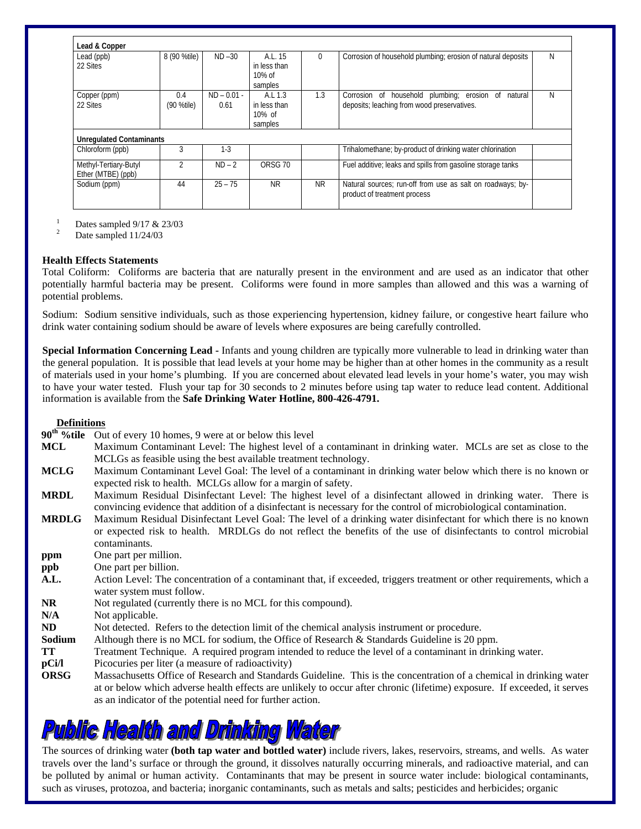| Lead (ppb)                      | 8 (90 %tile)   | $ND - 30$     | A.L. 15            | 0   | Corrosion of household plumbing; erosion of natural deposits                               | N |
|---------------------------------|----------------|---------------|--------------------|-----|--------------------------------------------------------------------------------------------|---|
| 22 Sites                        |                |               | in less than       |     |                                                                                            |   |
|                                 |                |               | $10\%$ of          |     |                                                                                            |   |
|                                 |                |               | samples            |     |                                                                                            |   |
| Copper (ppm)                    | 0.4            | $ND - 0.01 -$ | A.L.1.3            | 1.3 | Corrosion of household plumbing; erosion of<br>natural                                     | N |
| 22 Sites                        | (90 %tile)     | 0.61          | in less than       |     | deposits; leaching from wood preservatives.                                                |   |
|                                 |                |               | $10\%$ of          |     |                                                                                            |   |
|                                 |                |               | samples            |     |                                                                                            |   |
| <b>Unregulated Contaminants</b> |                |               |                    |     |                                                                                            |   |
| Chloroform (ppb)                | 3              | $1-3$         |                    |     | Trihalomethane; by-product of drinking water chlorination                                  |   |
| Methyl-Tertiary-Butyl           | $\mathfrak{p}$ | $ND - 2$      | ORSG <sub>70</sub> |     | Fuel additive; leaks and spills from gasoline storage tanks                                |   |
| Ether (MTBE) (ppb)              |                |               |                    |     |                                                                                            |   |
| Sodium (ppm)                    | 44             | $25 - 75$     | <b>NR</b>          | NR. | Natural sources; run-off from use as salt on roadways; by-<br>product of treatment process |   |

 $\frac{1}{2}$  Dates sampled 9/17 & 23/03<br>Date sampled 11/24/03

#### **Health Effects Statements**

Total Coliform: Coliforms are bacteria that are naturally present in the environment and are used as an indicator that other potentially harmful bacteria may be present. Coliforms were found in more samples than allowed and this was a warning of potential problems.

Sodium: Sodium sensitive individuals, such as those experiencing hypertension, kidney failure, or congestive heart failure who drink water containing sodium should be aware of levels where exposures are being carefully controlled.

**Special Information Concerning Lead -** Infants and young children are typically more vulnerable to lead in drinking water than the general population. It is possible that lead levels at your home may be higher than at other homes in the community as a result of materials used in your home's plumbing. If you are concerned about elevated lead levels in your home's water, you may wish to have your water tested. Flush your tap for 30 seconds to 2 minutes before using tap water to reduce lead content. Additional information is available from the **Safe Drinking Water Hotline, 800-426-4791.** 

### **Definitions**

**90th %tile** Out of every 10 homes, 9 were at or below this level

- **MCL** Maximum Contaminant Level: The highest level of a contaminant in drinking water. MCLs are set as close to the MCLGs as feasible using the best available treatment technology.
- **MCLG** Maximum Contaminant Level Goal: The level of a contaminant in drinking water below which there is no known or expected risk to health. MCLGs allow for a margin of safety.
- **MRDL** Maximum Residual Disinfectant Level: The highest level of a disinfectant allowed in drinking water. There is convincing evidence that addition of a disinfectant is necessary for the control of microbiological contamination.
- **MRDLG** Maximum Residual Disinfectant Level Goal: The level of a drinking water disinfectant for which there is no known or expected risk to health. MRDLGs do not reflect the benefits of the use of disinfectants to control microbial contaminants.
- **ppm** One part per million.
- **ppb** One part per billion.
- A.L. Action Level: The concentration of a contaminant that, if exceeded, triggers treatment or other requirements, which a water system must follow.
- **NR** Not regulated (currently there is no MCL for this compound).
- N/A Not applicable.
- **ND** Not detected. Refers to the detection limit of the chemical analysis instrument or procedure.
- **Sodium** Although there is no MCL for sodium, the Office of Research & Standards Guideline is 20 ppm.
- **TT** Treatment Technique. A required program intended to reduce the level of a contaminant in drinking water.
- **pCi/l** Picocuries per liter (a measure of radioactivity)
- **ORSG** Massachusetts Office of Research and Standards Guideline. This is the concentration of a chemical in drinking water at or below which adverse health effects are unlikely to occur after chronic (lifetime) exposure. If exceeded, it serves as an indicator of the potential need for further action.

# **Public Health and Drinking**

The sources of drinking water **(both tap water and bottled water)** include rivers, lakes, reservoirs, streams, and wells. As water travels over the land's surface or through the ground, it dissolves naturally occurring minerals, and radioactive material, and can be polluted by animal or human activity. Contaminants that may be present in source water include: biological contaminants, such as viruses, protozoa, and bacteria; inorganic contaminants, such as metals and salts; pesticides and herbicides; organic